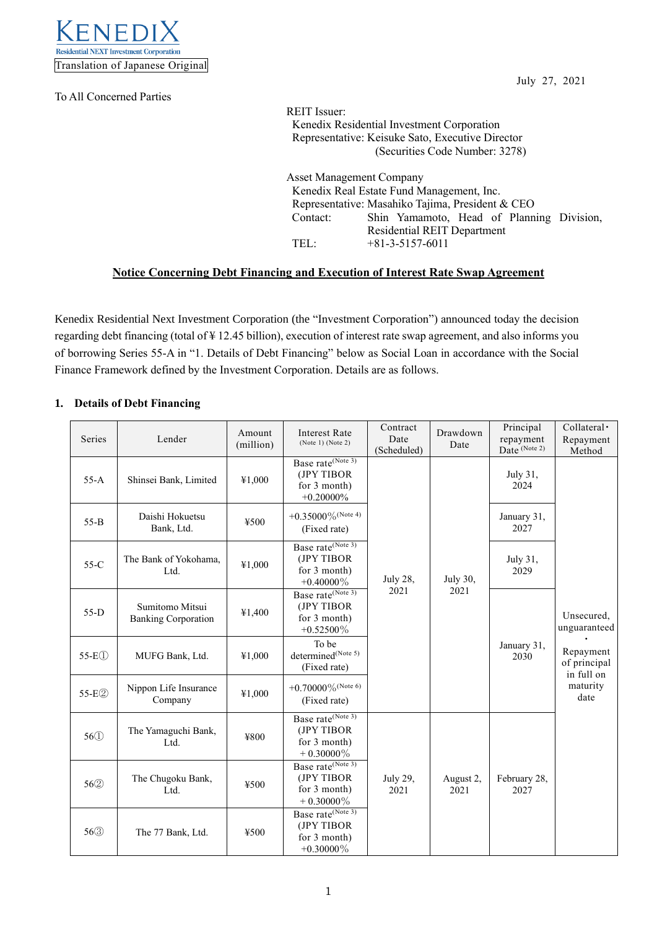

To All Concerned Parties

July 27, 2021

REIT Issuer: Kenedix Residential Investment Corporation Representative: Keisuke Sato, Executive Director (Securities Code Number: 3278)

Asset Management Company Kenedix Real Estate Fund Management, Inc. Representative: Masahiko Tajima, President & CEO Contact: Shin Yamamoto, Head of Planning Division, Residential REIT Department TEL: +81-3-5157-6011

# **Notice Concerning Debt Financing and Execution of Interest Rate Swap Agreement**

Kenedix Residential Next Investment Corporation (the "Investment Corporation") announced today the decision regarding debt financing (total of ¥ 12.45 billion), execution of interest rate swap agreement, and also informs you of borrowing Series 55-A in "1. Details of Debt Financing" below as Social Loan in accordance with the Social Finance Framework defined by the Investment Corporation. Details are as follows.

### **1. Details of Debt Financing**

| Series            | Lender                                        | Amount<br>(million) | <b>Interest Rate</b><br>(Note 1) (Note 2)                                   | Contract<br>Date<br>(Scheduled) | Drawdown<br>Date  | Principal<br>repayment<br>Date (Note 2) | Collateral ·<br>Repayment<br>Method                                                       |
|-------------------|-----------------------------------------------|---------------------|-----------------------------------------------------------------------------|---------------------------------|-------------------|-----------------------------------------|-------------------------------------------------------------------------------------------|
| $55-A$            | Shinsei Bank, Limited                         | ¥1,000              | Base rate <sup>(Note 3)</sup><br>(JPY TIBOR<br>for 3 month)<br>$+0.20000\%$ |                                 |                   | July 31,<br>2024                        |                                                                                           |
| $55 - B$          | Daishi Hokuetsu<br>Bank, Ltd.                 | ¥500                | $+0.35000\%$ (Note 4)<br>(Fixed rate)                                       |                                 | July 30,          | January 31,<br>2027                     | Unsecured,<br>unguaranteed<br>Repayment<br>of principal<br>in full on<br>maturity<br>date |
| $55-C$            | The Bank of Yokohama,<br>Ltd.                 | ¥1,000              | Base rate <sup>(Note 3)</sup><br>(JPY TIBOR<br>for 3 month)<br>$+0.40000\%$ | July 28,                        |                   | July 31,<br>2029                        |                                                                                           |
| $55-D$            | Sumitomo Mitsui<br><b>Banking Corporation</b> | ¥1,400              | Base rate(Note 3)<br>(JPY TIBOR<br>for 3 month)<br>$+0.52500\%$             | 2021                            | 2021              | January 31,<br>2030                     |                                                                                           |
| $55-E0$           | MUFG Bank, Ltd.                               | ¥1,000              | To be<br>determined <sup>(Note 5)</sup><br>(Fixed rate)                     |                                 |                   |                                         |                                                                                           |
| 55-E2             | Nippon Life Insurance<br>Company              | ¥1,000              | +0.70000% (Note 6)<br>(Fixed rate)                                          |                                 |                   |                                         |                                                                                           |
| 56 <sup>(1)</sup> | The Yamaguchi Bank,<br>Ltd.                   | ¥800                | Base rate(Note 3)<br>(JPY TIBOR<br>for 3 month)<br>$+$ 0.30000%             |                                 |                   |                                         |                                                                                           |
| 562               | The Chugoku Bank,<br>Ltd.                     | ¥500                | Base rate(Note 3)<br>(JPY TIBOR<br>for 3 month)<br>$+0.30000\%$             | July 29,<br>2021                | August 2,<br>2021 | February 28,<br>2027                    |                                                                                           |
| 56 <sup>3</sup>   | The 77 Bank, Ltd.                             | ¥500                | Base rate <sup>(Note 3)</sup><br>(JPY TIBOR<br>for 3 month)<br>$+0.30000\%$ |                                 |                   |                                         |                                                                                           |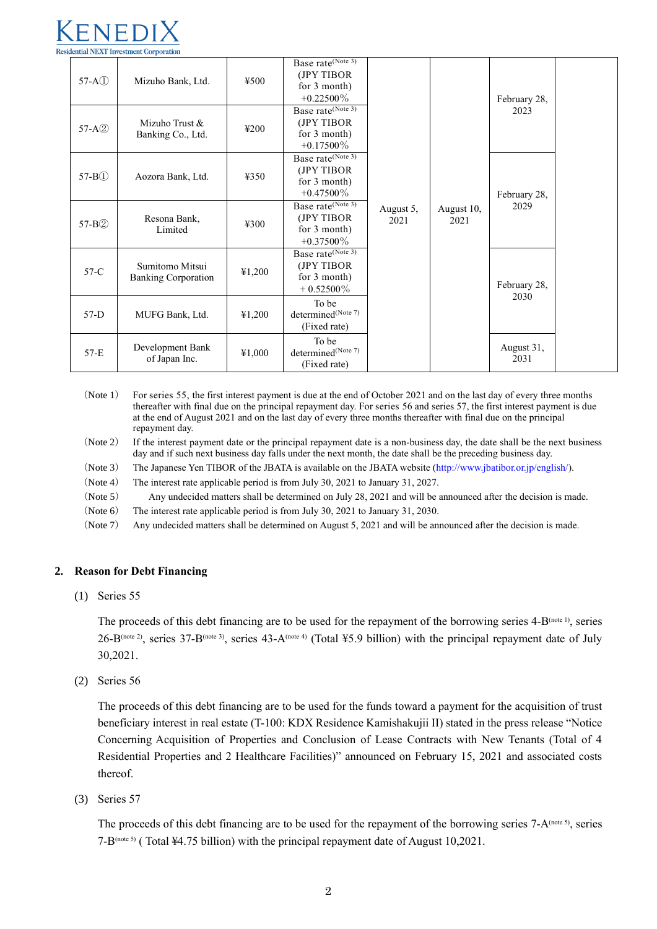# dential NEXT Investment Corporation

| $57-A(1)$           | Mizuho Bank, Ltd.                             | 4500           | Base rate <sup>(Note 3)</sup><br>(JPY TIBOR<br>for 3 month)<br>$+0.22500\%$ |                   |                    | February 28,<br>2023 |  |
|---------------------|-----------------------------------------------|----------------|-----------------------------------------------------------------------------|-------------------|--------------------|----------------------|--|
| 57-A2               | Mizuho Trust &<br>Banking Co., Ltd.           | $\text{\#}200$ | Base rate <sup>(Note 3)</sup><br>(JPY TIBOR<br>for 3 month)<br>$+0.17500\%$ |                   |                    |                      |  |
| 57-B <sub>(1)</sub> | Aozora Bank, Ltd.                             | 4350           | Base rate <sup>(Note 3)</sup><br>(JPY TIBOR<br>for 3 month)<br>$+0.47500\%$ |                   |                    | February 28,         |  |
| 57-B2               | Resona Bank,<br>Limited                       | 4300           | Base rate <sup>(Note 3)</sup><br>(JPY TIBOR<br>for 3 month)<br>$+0.37500\%$ | August 5,<br>2021 | August 10,<br>2021 | 2029                 |  |
| $57-C$              | Sumitomo Mitsui<br><b>Banking Corporation</b> | 41,200         | Base rate <sup>(Note 3)</sup><br>(JPY TIBOR<br>for 3 month)<br>$+0.52500\%$ |                   |                    | February 28,         |  |
| $57-D$              | MUFG Bank, Ltd.                               | 41,200         | To be<br>determined <sup>(Note 7)</sup><br>(Fixed rate)                     |                   |                    | 2030                 |  |
| $57-E$              | Development Bank<br>of Japan Inc.             | ¥1,000         | To be<br>determined(Note 7)<br>(Fixed rate)                                 |                   |                    | August 31,<br>2031   |  |

<sup>(</sup>Note 1) For series 55, the first interest payment is due at the end of October 2021 and on the last day of every three months thereafter with final due on the principal repayment day. For series 56 and series 57, the first interest payment is due at the end of August 2021 and on the last day of every three months thereafter with final due on the principal repayment day.

(Note 2) If the interest payment date or the principal repayment date is a non-business day, the date shall be the next business day and if such next business day falls under the next month, the date shall be the preceding business day.

(Note 3) The Japanese Yen TIBOR of the JBATA is available on the JBATA website [\(http://www.jbatibor.or.jp/english/\)](http://www.jbatibor.or.jp/english/).

(Note 4) The interest rate applicable period is from July 30, 2021 to January 31, 2027.

(Note 5) Any undecided matters shall be determined on July 28, 2021 and will be announced after the decision is made.

(Note 6) The interest rate applicable period is from July 30, 2021 to January 31, 2030.

(Note 7) Any undecided matters shall be determined on August 5, 2021 and will be announced after the decision is made.

#### **2. Reason for Debt Financing**

(1) Series 55

The proceeds of this debt financing are to be used for the repayment of the borrowing series  $4-B^{(note 1)}$ , series 26-B(note 2), series 37-B(note 3), series 43-A(note 4) (Total ¥5.9 billion) with the principal repayment date of July 30,2021.

(2) Series 56

The proceeds of this debt financing are to be used for the funds toward a payment for the acquisition of trust beneficiary interest in real estate (T-100: KDX Residence Kamishakujii II) stated in the press release "Notice Concerning Acquisition of Properties and Conclusion of Lease Contracts with New Tenants (Total of 4 Residential Properties and 2 Healthcare Facilities)" announced on February 15, 2021 and associated costs thereof.

(3) Series 57

The proceeds of this debt financing are to be used for the repayment of the borrowing series  $7-A^{(\text{note 5})}$ , series 7-B(note 5) ( Total ¥4.75 billion) with the principal repayment date of August 10,2021.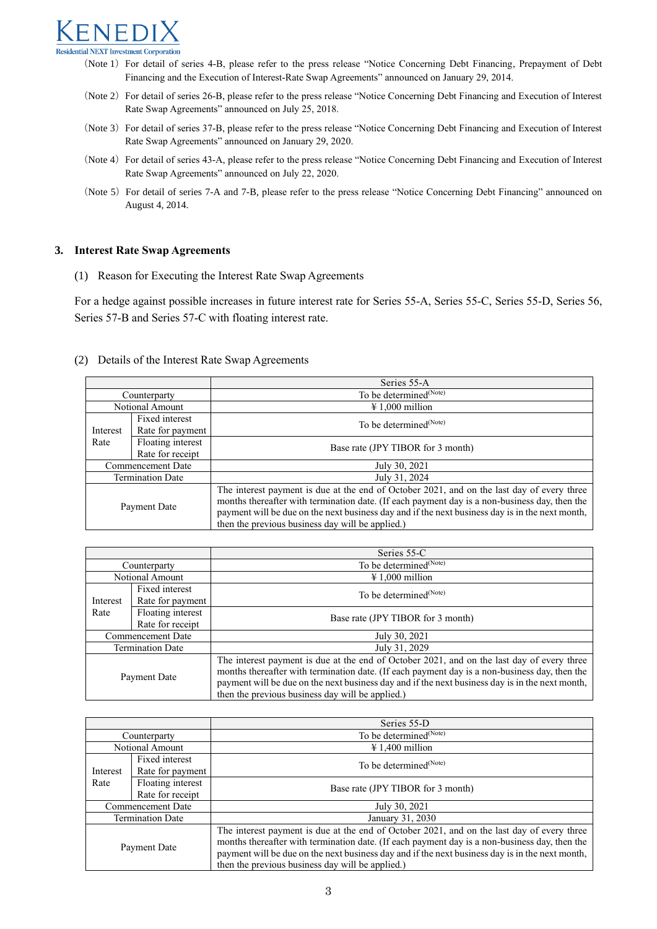# $\sqrt{E}$ esidential NEXT Investment Corporation

(Note 1) For detail of series 4-B, please refer to the press release "Notice Concerning Debt Financing, Prepayment of Debt Financing and the Execution of Interest-Rate Swap Agreements" announced on January 29, 2014.

- (Note 2) For detail of series 26-B, please refer to the press release "Notice Concerning Debt Financing and Execution of Interest Rate Swap Agreements" announced on July 25, 2018.
- (Note 3) For detail of series 37-B, please refer to the press release "Notice Concerning Debt Financing and Execution of Interest Rate Swap Agreements" announced on January 29, 2020.
- (Note 4) For detail of series 43-A, please refer to the press release "Notice Concerning Debt Financing and Execution of Interest Rate Swap Agreements" announced on July 22, 2020.
- (Note 5) For detail of series 7-A and 7-B, please refer to the press release "Notice Concerning Debt Financing" announced on August 4, 2014.

#### **3. Interest Rate Swap Agreements**

(1) Reason for Executing the Interest Rate Swap Agreements

For a hedge against possible increases in future interest rate for Series 55-A, Series 55-C, Series 55-D, Series 56, Series 57-B and Series 57-C with floating interest rate.

#### (2) Details of the Interest Rate Swap Agreements

|                         |                                       | Series 55-A                                                                                                                                                                                                                                                                                                                                        |  |  |
|-------------------------|---------------------------------------|----------------------------------------------------------------------------------------------------------------------------------------------------------------------------------------------------------------------------------------------------------------------------------------------------------------------------------------------------|--|--|
| Counterparty            |                                       | To be determined <sup>(Note)</sup>                                                                                                                                                                                                                                                                                                                 |  |  |
| Notional Amount         |                                       | $\text{\#} 1,000$ million                                                                                                                                                                                                                                                                                                                          |  |  |
| Interest                | Fixed interest<br>Rate for payment    | To be determined <sup>(Note)</sup>                                                                                                                                                                                                                                                                                                                 |  |  |
| Rate                    | Floating interest<br>Rate for receipt | Base rate (JPY TIBOR for 3 month)                                                                                                                                                                                                                                                                                                                  |  |  |
| Commencement Date       |                                       | July 30, 2021                                                                                                                                                                                                                                                                                                                                      |  |  |
| <b>Termination Date</b> |                                       | July 31, 2024                                                                                                                                                                                                                                                                                                                                      |  |  |
| Payment Date            |                                       | The interest payment is due at the end of October 2021, and on the last day of every three<br>months thereafter with termination date. (If each payment day is a non-business day, then the<br>payment will be due on the next business day and if the next business day is in the next month,<br>then the previous business day will be applied.) |  |  |

|                         |                                       | Series 55-C                                                                                                                                                                                                                                                                                                                                        |  |  |
|-------------------------|---------------------------------------|----------------------------------------------------------------------------------------------------------------------------------------------------------------------------------------------------------------------------------------------------------------------------------------------------------------------------------------------------|--|--|
| Counterparty            |                                       | To be determined <sup>(Note)</sup>                                                                                                                                                                                                                                                                                                                 |  |  |
|                         | Notional Amount                       | $\text{\#} 1,000$ million                                                                                                                                                                                                                                                                                                                          |  |  |
| Interest                | Fixed interest<br>Rate for payment    | To be determined <sup>(Note)</sup>                                                                                                                                                                                                                                                                                                                 |  |  |
| Rate                    | Floating interest<br>Rate for receipt | Base rate (JPY TIBOR for 3 month)                                                                                                                                                                                                                                                                                                                  |  |  |
| Commencement Date       |                                       | July 30, 2021                                                                                                                                                                                                                                                                                                                                      |  |  |
| <b>Termination Date</b> |                                       | July 31, 2029                                                                                                                                                                                                                                                                                                                                      |  |  |
| Payment Date            |                                       | The interest payment is due at the end of October 2021, and on the last day of every three<br>months thereafter with termination date. (If each payment day is a non-business day, then the<br>payment will be due on the next business day and if the next business day is in the next month,<br>then the previous business day will be applied.) |  |  |

|                         |                                       | Series 55-D                                                                                                                                                                                                                                                                                                                                        |  |  |
|-------------------------|---------------------------------------|----------------------------------------------------------------------------------------------------------------------------------------------------------------------------------------------------------------------------------------------------------------------------------------------------------------------------------------------------|--|--|
| Counterparty            |                                       | To be determined <sup>(Note)</sup>                                                                                                                                                                                                                                                                                                                 |  |  |
| Notional Amount         |                                       | $\text{\#} 1,400$ million                                                                                                                                                                                                                                                                                                                          |  |  |
| Interest                | Fixed interest<br>Rate for payment    | To be determined <sup>(Note)</sup>                                                                                                                                                                                                                                                                                                                 |  |  |
| Rate                    | Floating interest<br>Rate for receipt | Base rate (JPY TIBOR for 3 month)                                                                                                                                                                                                                                                                                                                  |  |  |
| Commencement Date       |                                       | July 30, 2021                                                                                                                                                                                                                                                                                                                                      |  |  |
| <b>Termination Date</b> |                                       | January 31, 2030                                                                                                                                                                                                                                                                                                                                   |  |  |
| Payment Date            |                                       | The interest payment is due at the end of October 2021, and on the last day of every three<br>months thereafter with termination date. (If each payment day is a non-business day, then the<br>payment will be due on the next business day and if the next business day is in the next month,<br>then the previous business day will be applied.) |  |  |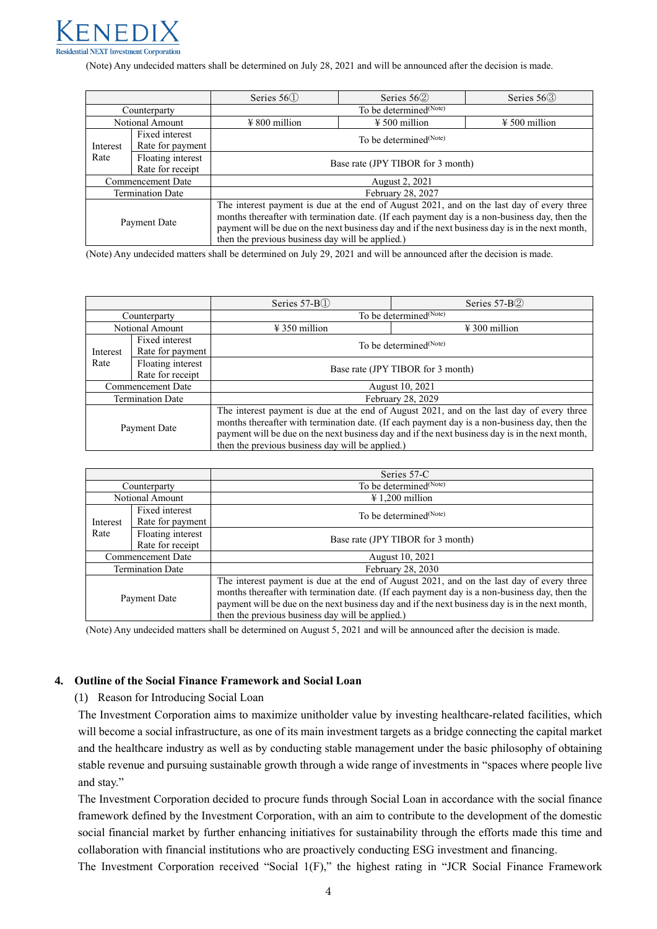

(Note) Any undecided matters shall be determined on July 28, 2021 and will be announced after the decision is made.

|                         |                   | Series $56()$                                                                                   | Series $562$                       | Series $56\textcircled{3}$ |  |  |  |
|-------------------------|-------------------|-------------------------------------------------------------------------------------------------|------------------------------------|----------------------------|--|--|--|
| Counterparty            |                   | To be determined <sup>(Note)</sup>                                                              |                                    |                            |  |  |  |
| Notional Amount         |                   | $\frac{1}{2}$ 800 million                                                                       | $\frac{1}{2}$ 500 million          | $\frac{1}{2}$ 500 million  |  |  |  |
|                         | Fixed interest    |                                                                                                 | To be determined <sup>(Note)</sup> |                            |  |  |  |
| Interest                | Rate for payment  |                                                                                                 |                                    |                            |  |  |  |
| Rate                    | Floating interest | Base rate (JPY TIBOR for 3 month)                                                               |                                    |                            |  |  |  |
|                         | Rate for receipt  |                                                                                                 |                                    |                            |  |  |  |
| Commencement Date       |                   | August 2, 2021                                                                                  |                                    |                            |  |  |  |
| <b>Termination Date</b> |                   | February 28, 2027                                                                               |                                    |                            |  |  |  |
| Payment Date            |                   | The interest payment is due at the end of August 2021, and on the last day of every three       |                                    |                            |  |  |  |
|                         |                   | months thereafter with termination date. (If each payment day is a non-business day, then the   |                                    |                            |  |  |  |
|                         |                   | payment will be due on the next business day and if the next business day is in the next month, |                                    |                            |  |  |  |
|                         |                   | then the previous business day will be applied.)                                                |                                    |                            |  |  |  |

(Note) Any undecided matters shall be determined on July 29, 2021 and will be announced after the decision is made.

|                  |                                       | Series 57-B <sub>(1)</sub><br>Series 57-B2                                                                                                                                                                                                                                                                                                        |                                    |  |
|------------------|---------------------------------------|---------------------------------------------------------------------------------------------------------------------------------------------------------------------------------------------------------------------------------------------------------------------------------------------------------------------------------------------------|------------------------------------|--|
| Counterparty     |                                       | To be determined <sup>(Note)</sup>                                                                                                                                                                                                                                                                                                                |                                    |  |
| Notional Amount  |                                       | $\frac{1}{2}$ 350 million                                                                                                                                                                                                                                                                                                                         | $\text{\#}300$ million             |  |
| Interest<br>Rate | Fixed interest<br>Rate for payment    |                                                                                                                                                                                                                                                                                                                                                   | To be determined <sup>(Note)</sup> |  |
|                  | Floating interest<br>Rate for receipt | Base rate (JPY TIBOR for 3 month)                                                                                                                                                                                                                                                                                                                 |                                    |  |
|                  | <b>Commencement Date</b>              | August 10, 2021                                                                                                                                                                                                                                                                                                                                   |                                    |  |
|                  | <b>Termination Date</b>               | February 28, 2029                                                                                                                                                                                                                                                                                                                                 |                                    |  |
| Payment Date     |                                       | The interest payment is due at the end of August 2021, and on the last day of every three<br>months thereafter with termination date. (If each payment day is a non-business day, then the<br>payment will be due on the next business day and if the next business day is in the next month,<br>then the previous business day will be applied.) |                                    |  |

|                         |                                       | Series 57-C                                                                                                                                                                                                                                                                                                                                       |  |  |
|-------------------------|---------------------------------------|---------------------------------------------------------------------------------------------------------------------------------------------------------------------------------------------------------------------------------------------------------------------------------------------------------------------------------------------------|--|--|
| Counterparty            |                                       | To be determined <sup>(Note)</sup>                                                                                                                                                                                                                                                                                                                |  |  |
|                         | Notional Amount                       | $\text{\#} 1,200$ million                                                                                                                                                                                                                                                                                                                         |  |  |
| Interest                | Fixed interest<br>Rate for payment    | To be determined <sup>(Note)</sup>                                                                                                                                                                                                                                                                                                                |  |  |
| Rate                    | Floating interest<br>Rate for receipt | Base rate (JPY TIBOR for 3 month)                                                                                                                                                                                                                                                                                                                 |  |  |
|                         | Commencement Date                     | August 10, 2021                                                                                                                                                                                                                                                                                                                                   |  |  |
| <b>Termination Date</b> |                                       | February 28, 2030                                                                                                                                                                                                                                                                                                                                 |  |  |
| Payment Date            |                                       | The interest payment is due at the end of August 2021, and on the last day of every three<br>months thereafter with termination date. (If each payment day is a non-business day, then the<br>payment will be due on the next business day and if the next business day is in the next month,<br>then the previous business day will be applied.) |  |  |

(Note) Any undecided matters shall be determined on August 5, 2021 and will be announced after the decision is made.

#### **4. Outline of the Social Finance Framework and Social Loan**

(1) Reason for Introducing Social Loan

The Investment Corporation aims to maximize unitholder value by investing healthcare-related facilities, which will become a social infrastructure, as one of its main investment targets as a bridge connecting the capital market and the healthcare industry as well as by conducting stable management under the basic philosophy of obtaining stable revenue and pursuing sustainable growth through a wide range of investments in "spaces where people live and stay."

The Investment Corporation decided to procure funds through Social Loan in accordance with the social finance framework defined by the Investment Corporation, with an aim to contribute to the development of the domestic social financial market by further enhancing initiatives for sustainability through the efforts made this time and collaboration with financial institutions who are proactively conducting ESG investment and financing.

The Investment Corporation received "Social 1(F)," the highest rating in "JCR Social Finance Framework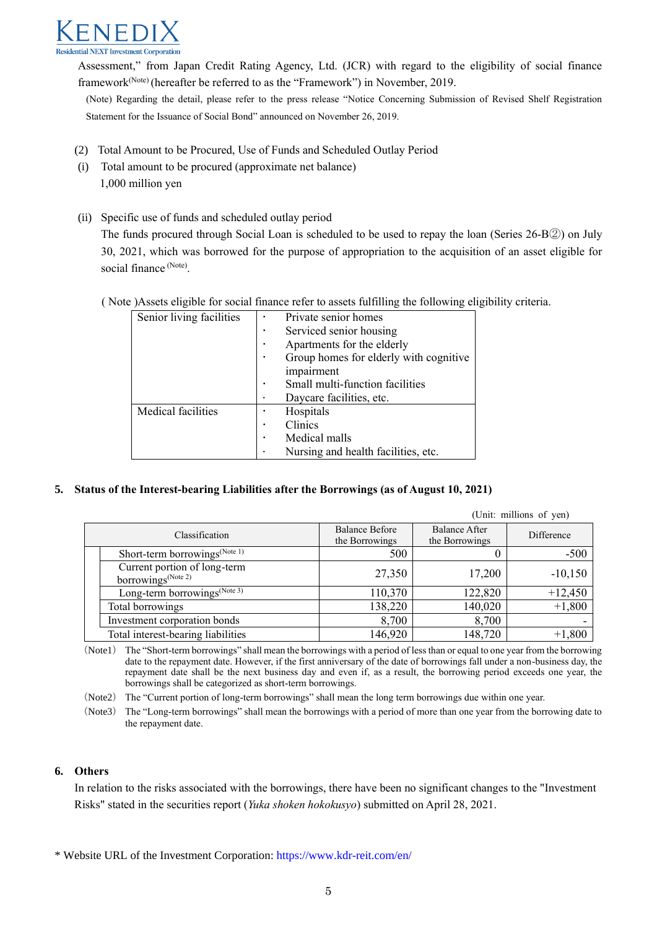

Assessment," from Japan Credit Rating Agency, Ltd. (JCR) with regard to the eligibility of social finance framework(Note) (hereafter be referred to as the "Framework") in November, 2019.

(Note) Regarding the detail, please refer to the press release "Notice Concerning Submission of Revised Shelf Registration Statement for the Issuance of Social Bond" announced on November 26, 2019.

- (2) Total Amount to be Procured, Use of Funds and Scheduled Outlay Period
- (i) Total amount to be procured (approximate net balance) 1,000 million yen
- (ii) Specific use of funds and scheduled outlay period The funds procured through Social Loan is scheduled to be used to repay the loan (Series 26-B②) on July 30, 2021, which was borrowed for the purpose of appropriation to the acquisition of an asset eligible for social finance (Note).

( Note )Assets eligible for social finance refer to assets fulfilling the following eligibility criteria.

| Senior living facilities |            | Private senior homes                   |  |
|--------------------------|------------|----------------------------------------|--|
|                          |            | Serviced senior housing                |  |
|                          |            | Apartments for the elderly             |  |
|                          |            | Group homes for elderly with cognitive |  |
|                          | impairment |                                        |  |
|                          |            | Small multi-function facilities        |  |
|                          |            | Daycare facilities, etc.               |  |
| Medical facilities       |            | Hospitals                              |  |
|                          |            | Clinics                                |  |
|                          |            | Medical malls                          |  |
|                          |            | Nursing and health facilities, etc.    |  |

#### **5. Status of the Interest-bearing Liabilities after the Borrowings (as of August 10, 2021)**

|                                                                |                                         |                                        | (Unit: millions of yen) |
|----------------------------------------------------------------|-----------------------------------------|----------------------------------------|-------------------------|
| Classification                                                 | <b>Balance Before</b><br>the Borrowings | <b>Balance After</b><br>the Borrowings | Difference              |
| Short-term borrowings <sup>(Note 1)</sup>                      | 500                                     |                                        | $-500$                  |
| Current portion of long-term<br>borrowings <sup>(Note 2)</sup> | 27,350                                  | 17,200                                 | $-10,150$               |
| Long-term borrowings <sup><math>(Note 3)</math></sup>          | 110,370                                 | 122,820                                | $+12,450$               |
| Total borrowings                                               | 138,220                                 | 140,020                                | $+1,800$                |
| Investment corporation bonds                                   | 8,700                                   | 8,700                                  |                         |
| Total interest-bearing liabilities                             | 146,920                                 | 148,720                                | $+1,800$                |

(Note1) The "Short-term borrowings" shall mean the borrowings with a period of less than or equal to one year from the borrowing date to the repayment date. However, if the first anniversary of the date of borrowings fall under a non-business day, the repayment date shall be the next business day and even if, as a result, the borrowing period exceeds one year, the borrowings shall be categorized as short-term borrowings.

(Note2) The "Current portion of long-term borrowings" shall mean the long term borrowings due within one year.

(Note3) The "Long-term borrowings" shall mean the borrowings with a period of more than one year from the borrowing date to the repayment date.

# **6. Others**

In relation to the risks associated with the borrowings, there have been no significant changes to the "Investment Risks" stated in the securities report (*Yuka shoken hokokusyo*) submitted on April 28, 2021.

\* Website URL of the Investment Corporation[: https://www.kdr-reit.com/en/](https://www.kdr-reit.com/en/)